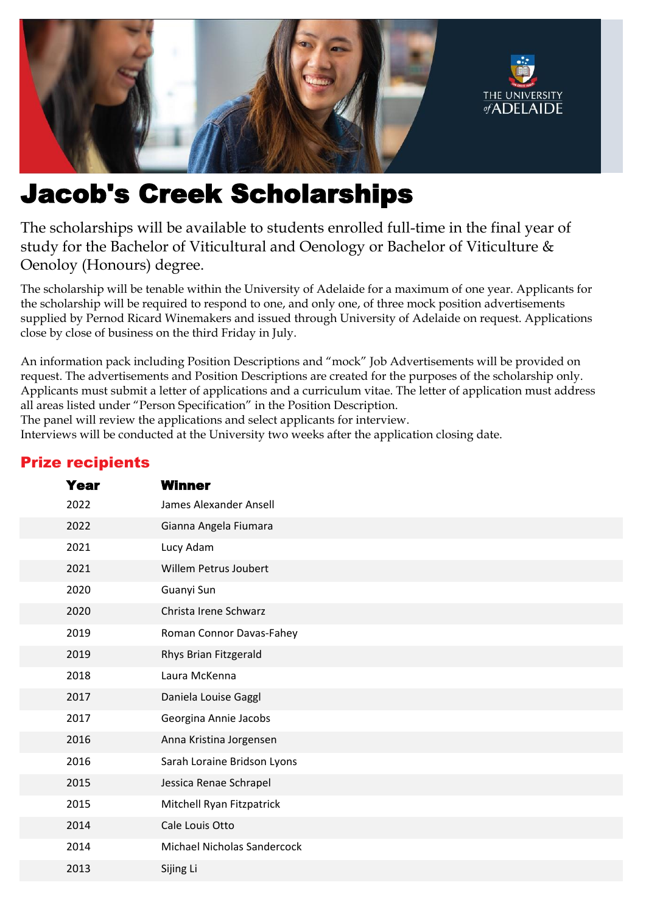

# Jacob's Creek Scholarships

The scholarships will be available to students enrolled full-time in the final year of study for the Bachelor of Viticultural and Oenology or Bachelor of Viticulture & Oenoloy (Honours) degree.

The scholarship will be tenable within the University of Adelaide for a maximum of one year. Applicants for the scholarship will be required to respond to one, and only one, of three mock position advertisements supplied by Pernod Ricard Winemakers and issued through University of Adelaide on request. Applications close by close of business on the third Friday in July.

An information pack including Position Descriptions and "mock" Job Advertisements will be provided on request. The advertisements and Position Descriptions are created for the purposes of the scholarship only. Applicants must submit a letter of applications and a curriculum vitae. The letter of application must address all areas listed under "Person Specification" in the Position Description.

The panel will review the applications and select applicants for interview.

Interviews will be conducted at the University two weeks after the application closing date.

| Year | <b>Winner</b> |                                    |
|------|---------------|------------------------------------|
| 2022 |               | James Alexander Ansell             |
| 2022 |               | Gianna Angela Fiumara              |
| 2021 | Lucy Adam     |                                    |
| 2021 |               | Willem Petrus Joubert              |
| 2020 | Guanyi Sun    |                                    |
| 2020 |               | Christa Irene Schwarz              |
| 2019 |               | Roman Connor Davas-Fahey           |
| 2019 |               | Rhys Brian Fitzgerald              |
| 2018 |               | Laura McKenna                      |
| 2017 |               | Daniela Louise Gaggl               |
| 2017 |               | Georgina Annie Jacobs              |
| 2016 |               | Anna Kristina Jorgensen            |
| 2016 |               | Sarah Loraine Bridson Lyons        |
| 2015 |               | Jessica Renae Schrapel             |
| 2015 |               | Mitchell Ryan Fitzpatrick          |
| 2014 |               | Cale Louis Otto                    |
| 2014 |               | <b>Michael Nicholas Sandercock</b> |
| 2013 | Sijing Li     |                                    |

## Prize recipients